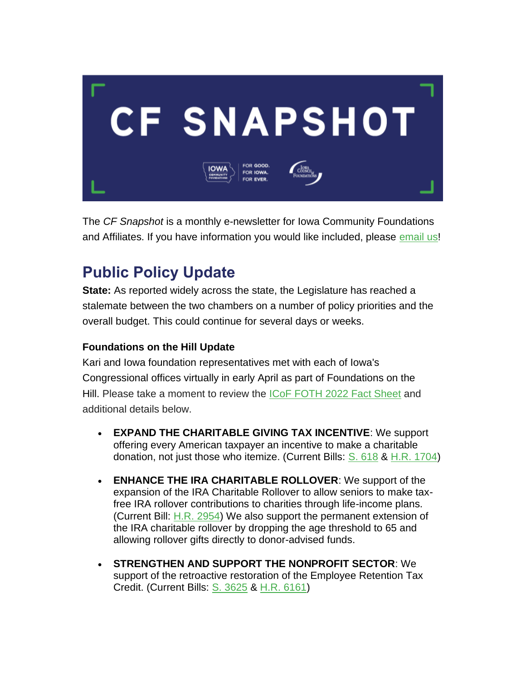

The *CF Snapshot* is a monthly e-newsletter for Iowa Community Foundations and Affiliates. If you have information you would like included, please [email](mailto:jmanders@iowacounciloffoundations.org) us!

## **Public Policy Update**

**State:** As reported widely across the state, the Legislature has reached a stalemate between the two chambers on a number of policy priorities and the overall budget. This could continue for several days or weeks.

### **Foundations on the Hill Update**

Kari and Iowa foundation representatives met with each of Iowa's Congressional offices virtually in early April as part of Foundations on the Hill. Please take a moment to review the [ICoF FOTH 2022 Fact Sheet](https://wa.iowacounciloffoundations.org/EmailTracker/LinkTracker.ashx?linkAndRecipientCode=1EbKwc3%2f0bUqj7FjjIKUkVJY7zgXlOX4l5MaROGry4IFQZVTcaaMiK7H0HBLoFqQb8PHiKE0W%2bBQRHGFWj%2fgqQ%2f14SRdyWPUpwY%2fznH37%2bg%3d) and additional details below.

- **EXPAND THE CHARITABLE GIVING TAX INCENTIVE**: We support offering every American taxpayer an incentive to make a charitable donation, not just those who itemize. (Current Bills: [S. 618](https://wa.iowacounciloffoundations.org/EmailTracker/LinkTracker.ashx?linkAndRecipientCode=QGdY68jkkfAbvYotym%2b%2byvAz8AKCsiP7Wl1S8ZjIVhRDxJFQSCjlFErnH6C06qQNyzOsTt4khEDWHABZ7Rry9uF5AI%2fpIeShd4xEhJ9Jf%2fY%3d) & [H.R. 1704\)](https://wa.iowacounciloffoundations.org/EmailTracker/LinkTracker.ashx?linkAndRecipientCode=JU1O9Xe%2bG4JG%2b7xCCPcEFqb3XilTzj4WJ8mTZpdnvbdWC7X6LPRPPCPOF92fRIc1rcs%2f4EfG6h%2f1l%2fONnp6zMwRuFHlTbEU1WvR%2bGcHpkRk%3d)
- **ENHANCE THE IRA CHARITABLE ROLLOVER**: We support of the expansion of the IRA Charitable Rollover to allow seniors to make taxfree IRA rollover contributions to charities through life-income plans. (Current Bill: [H.R. 2954\)](https://wa.iowacounciloffoundations.org/EmailTracker/LinkTracker.ashx?linkAndRecipientCode=O8ytZemjTb1CHS0pFm2UYcrgmBgRjLWogggLZWAhDvMKPE9tMunc6YcsZ2K2kXCE0XIZYcjvd9AdSbt6opezPjzgrhkZGNDwbqwOx2622Ns%3d) We also support the permanent extension of the IRA charitable rollover by dropping the age threshold to 65 and allowing rollover gifts directly to donor-advised funds.
- **STRENGTHEN AND SUPPORT THE NONPROFIT SECTOR**: We support of the retroactive restoration of the Employee Retention Tax Credit. (Current Bills: [S. 3625](https://wa.iowacounciloffoundations.org/EmailTracker/LinkTracker.ashx?linkAndRecipientCode=J1SWxLpWP5hMOxJ%2bhysTJWuB4jauUBC4LMlaiDVpgB6hE5fWWLaNkSRxyw3GxzHejUVgu42COUCHTYPQEmht3mF0bxSuivSGDS1%2btIpR4bc%3d) & [H.R. 6161\)](https://wa.iowacounciloffoundations.org/EmailTracker/LinkTracker.ashx?linkAndRecipientCode=FsACQwqeHyYw5Hik%2fm553Y4wE2hPzWhsNela9V2K2lmqcDqQTn0ZfvA6wdiyb%2bzdc9RpdChfNw1bO7OZ3wnJNkcP%2bAadUaRbtkC%2frW3ED0Q%3d)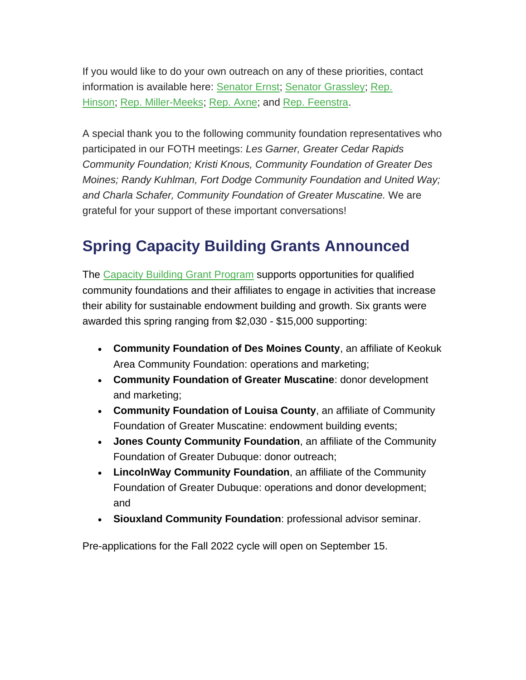If you would like to do your own outreach on any of these priorities, contact information is available here: [Senator Ernst;](https://wa.iowacounciloffoundations.org/EmailTracker/LinkTracker.ashx?linkAndRecipientCode=IYTcaICMHZYhU78RzYBs5x4UYpjclqslpNMvj5rb1ZW3tnc7pBUF41SowQ2XwU6oek91tGeZVm6jOUWX1EFRSwWT9D4WokGYlTrNM6Q%2bUeE%3d) [Senator Grassley;](https://wa.iowacounciloffoundations.org/EmailTracker/LinkTracker.ashx?linkAndRecipientCode=D6Cc%2bxrCJ%2fcNevAnb2Uw4d81ff70YflvHi%2fk%2fPXduCacBH1i%2bm8CEFHhyblkCx%2bf8CxZR8Fx4NnXyXnr595FCwZ%2b8FQvemPnVONmdbVt1LA%3d) [Rep.](https://wa.iowacounciloffoundations.org/EmailTracker/LinkTracker.ashx?linkAndRecipientCode=RfsE6YI%2bXk85%2b0mTncJ3hevCmw4dvnjnlfSW4uA6Y%2br5Rdp2Een3gHvA9Qz4nW0GJvpABM1QML5N98HfnhRUNhQ0krl1ZylXg5nvTtKJX5A%3d)  [Hinson;](https://wa.iowacounciloffoundations.org/EmailTracker/LinkTracker.ashx?linkAndRecipientCode=RfsE6YI%2bXk85%2b0mTncJ3hevCmw4dvnjnlfSW4uA6Y%2br5Rdp2Een3gHvA9Qz4nW0GJvpABM1QML5N98HfnhRUNhQ0krl1ZylXg5nvTtKJX5A%3d) [Rep. Miller-Meeks;](https://wa.iowacounciloffoundations.org/EmailTracker/LinkTracker.ashx?linkAndRecipientCode=I0kiJHH%2ffdM%2bDVtUMMWCwHjGsnmbZDRI124cJytdEK%2blrlEdr%2fCA0xrvNPIGsVpRGv%2bwPoTh03YAEX0nNe97UhavS0AmLDCAfmsSvsbwZOo%3d) [Rep. Axne;](https://wa.iowacounciloffoundations.org/EmailTracker/LinkTracker.ashx?linkAndRecipientCode=gCaMHvCfabiF68NUHmN1iPOA%2fYEJQgDIE5Vrr2Ckgyiij99GUhuAphOIU4bf9Y2wZwG6qR23gFRXu5Wy5AYz4KpTvfB618R4LyYI5qaKx8Q%3d) and [Rep. Feenstra.](https://wa.iowacounciloffoundations.org/EmailTracker/LinkTracker.ashx?linkAndRecipientCode=vh75HzUmuH0IaQTylld9H0utO2RyzQHNVNYujDawYOb91TQpQ3rpOvXJisFwI6H2QyRJFREp8jPj6J09CUtcNxYtjUkp3BBMpwTrn7niQu4%3d)

A special thank you to the following community foundation representatives who participated in our FOTH meetings: *Les Garner, Greater Cedar Rapids Community Foundation; Kristi Knous, Community Foundation of Greater Des Moines; Randy Kuhlman, Fort Dodge Community Foundation and United Way; and Charla Schafer, Community Foundation of Greater Muscatine.* We are grateful for your support of these important conversations!

## **Spring Capacity Building Grants Announced**

The [Capacity Building Grant Program](https://iowacounciloffoundations.org/grant-opportunities/) supports opportunities for qualified community foundations and their affiliates to engage in activities that increase their ability for sustainable endowment building and growth. Six grants were awarded this spring ranging from \$2,030 - \$15,000 supporting:

- **Community Foundation of Des Moines County**, an affiliate of Keokuk Area Community Foundation: operations and marketing;
- **Community Foundation of Greater Muscatine**: donor development and marketing;
- **Community Foundation of Louisa County**, an affiliate of Community Foundation of Greater Muscatine: endowment building events;
- **Jones County Community Foundation**, an affiliate of the Community Foundation of Greater Dubuque: donor outreach;
- **LincolnWay Community Foundation**, an affiliate of the Community Foundation of Greater Dubuque: operations and donor development; and
- **Siouxland Community Foundation**: professional advisor seminar.

Pre-applications for the Fall 2022 cycle will open on September 15.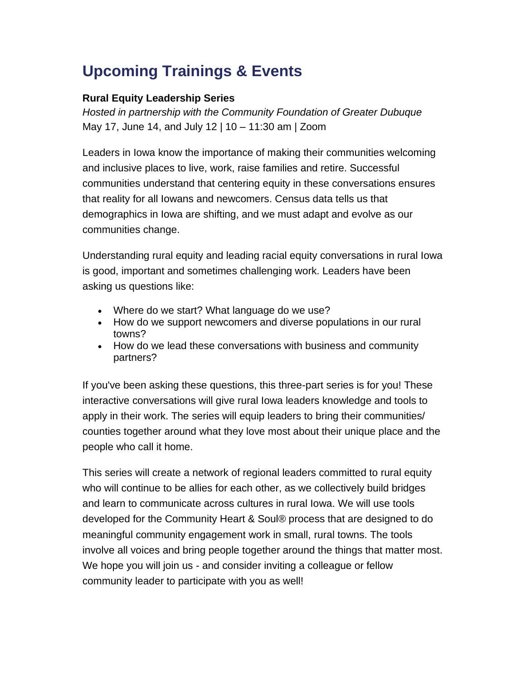# **Upcoming Trainings & Events**

#### **Rural Equity Leadership Series**

*Hosted in partnership with the Community Foundation of Greater Dubuque* May 17, June 14, and July 12 | 10 – 11:30 am | Zoom

Leaders in Iowa know the importance of making their communities welcoming and inclusive places to live, work, raise families and retire. Successful communities understand that centering equity in these conversations ensures that reality for all Iowans and newcomers. Census data tells us that demographics in Iowa are shifting, and we must adapt and evolve as our communities change.

Understanding rural equity and leading racial equity conversations in rural Iowa is good, important and sometimes challenging work. Leaders have been asking us questions like:

- Where do we start? What language do we use?
- How do we support newcomers and diverse populations in our rural towns?
- How do we lead these conversations with business and community partners?

If you've been asking these questions, this three-part series is for you! These interactive conversations will give rural Iowa leaders knowledge and tools to apply in their work. The series will equip leaders to bring their communities/ counties together around what they love most about their unique place and the people who call it home.

This series will create a network of regional leaders committed to rural equity who will continue to be allies for each other, as we collectively build bridges and learn to communicate across cultures in rural Iowa. We will use tools developed for the Community Heart & Soul® process that are designed to do meaningful community engagement work in small, rural towns. The tools involve all voices and bring people together around the things that matter most. We hope you will join us - and consider inviting a colleague or fellow community leader to participate with you as well!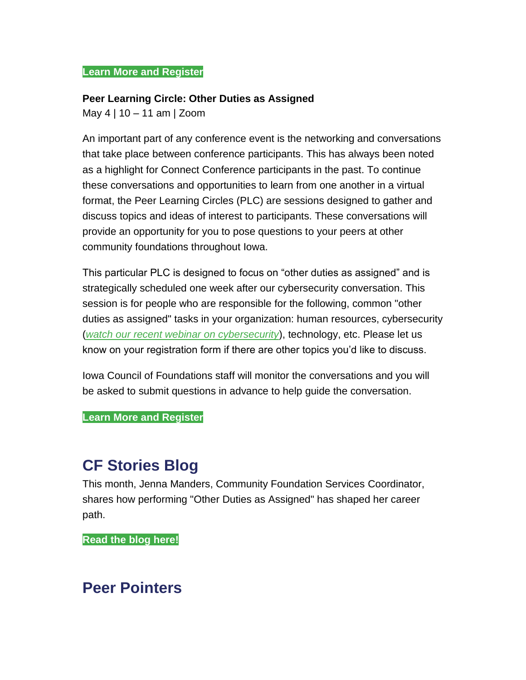#### **[Learn More and Register](https://icof.wildapricot.org/event-4669692)**

#### **Peer Learning Circle: Other Duties as Assigned**

May 4 | 10 – 11 am | Zoom

An important part of any conference event is the networking and conversations that take place between conference participants. This has always been noted as a highlight for Connect Conference participants in the past. To continue these conversations and opportunities to learn from one another in a virtual format, the Peer Learning Circles (PLC) are sessions designed to gather and discuss topics and ideas of interest to participants. These conversations will provide an opportunity for you to pose questions to your peers at other community foundations throughout Iowa.

This particular PLC is designed to focus on "other duties as assigned" and is strategically scheduled one week after our cybersecurity conversation. This session is for people who are responsible for the following, common "other duties as assigned" tasks in your organization: human resources, cybersecurity (*[watch our recent webinar on cybersecurity](https://www.youtube.com/watch?v=OyXgUHNcT_c)*), technology, etc. Please let us know on your registration form if there are other topics you'd like to discuss.

Iowa Council of Foundations staff will monitor the conversations and you will be asked to submit questions in advance to help guide the conversation.

**[Learn More and Register](https://icof.wildapricot.org/event-4588829)**

### **CF Stories Blog**

This month, Jenna Manders, Community Foundation Services Coordinator, shares how performing "Other Duties as Assigned" has shaped her career path.

**[Read the blog here!](https://iowacounciloffoundations.org/category/cfstories/)**

### **Peer Pointers**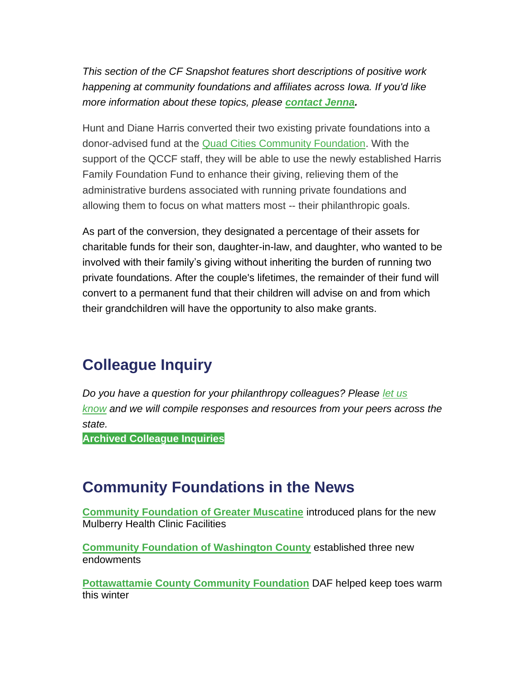*This section of the CF Snapshot features short descriptions of positive work happening at community foundations and affiliates across Iowa. If you'd like more information about these topics, please [contact Jenna.](mailto:jmanders@iowacounciloffoundations.org)*

Hunt and Diane Harris converted their two existing private foundations into a donor-advised fund at the Quad [Cities Community Foundation.](https://www.qccommunityfoundation.org/) With the support of the QCCF staff, they will be able to use the newly established Harris Family Foundation Fund to enhance their giving, relieving them of the administrative burdens associated with running private foundations and allowing them to focus on what matters most -- their philanthropic goals.

As part of the conversion, they designated a percentage of their assets for charitable funds for their son, daughter-in-law, and daughter, who wanted to be involved with their family's giving without inheriting the burden of running two private foundations. After the couple's lifetimes, the remainder of their fund will convert to a permanent fund that their children will advise on and from which their grandchildren will have the opportunity to also make grants.

## **Colleague Inquiry**

*Do you have a question for your philanthropy colleagues? Please [let us](mailto:info@iowacounciloffoundations.org?subject=Colleague%20Inquiry%20Request)  [know](mailto:info@iowacounciloffoundations.org?subject=Colleague%20Inquiry%20Request) and we will compile responses and resources from your peers across the state.*

**[Archived Colleague Inquiries](https://iowacounciloffoundations.org/community-foundation-resources-colleague-inquiries/)**

### **Community Foundations in the News**

**[Community Foundation of Greater Muscatine](https://muscatinejournal.com/muscatine/news/local/community-foundation-of-greater-muscatine-introduces-new-mulberry-health-clinic-facilities/article_28df0c84-d7d0-5334-bca6-0b9dcb57e86b.html)** introduced plans for the new Mulberry Health Clinic Facilities

**[Community Foundation of](https://www.kciiradio.com/2022/04/11/three-new-endowments-established-with-community-foundation-of-washington-county/) Washington County** established three new endowments

**[Pottawattamie County Community Foundation](https://nonpareilonline.com/news/local/family-inc-and-partners-work-to-keep-little-toes-warm-this-winter/article_d4e27838-8092-11ec-83ea-9fa055363bc6.html#tracking-source=home-top-story)** DAF helped keep toes warm this winter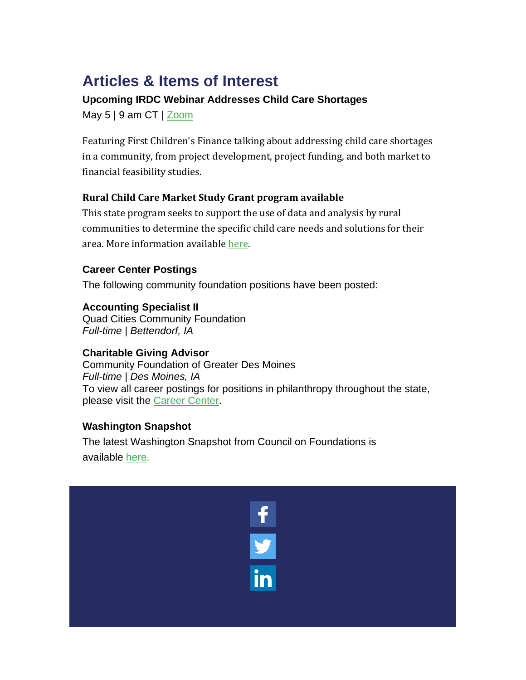# **Articles & Items of Interest**

### **Upcoming IRDC Webinar Addresses Child Care Shortages**

May  $5 \mid 9$  am CT  $\mid$  [Zoom](https://us02web.zoom.us/j/83187306690)

Featuring First Children's Finance talking about addressing child care shortages in a community, from project development, project funding, and both market to financial feasibility studies.

### **Rural Child Care Market Study Grant program available**

This state program seeks to support the use of data and analysis by rural communities to determine the specific child care needs and solutions for their area. More information available [here.](https://www.iowaeda.com/empower-rural-iowa/child-care-study/)

### **Career Center Postings**

The following community foundation positions have been posted:

**Accounting Specialist II** Quad Cities Community Foundation *Full-time | Bettendorf, IA*

### **Charitable Giving Advisor**

Community Foundation of Greater Des Moines *Full-time | Des Moines, IA* To view all career postings for positions in philanthropy throughout the state, please visit the [Career Center.](http://iowacounciloffoundations.org/career-center/)

### **Washington Snapshot**

The latest Washington Snapshot from Council on Foundations is available [here.](http://email.cof.org/washington-snapshot-new-nonprofit-legislation-in-the-house-plus-a-council-webinar-with-americorps?ecid=ACsprvtAr83CvXYd4wPC_77y5oBCpiXyGmJQKWjTDngOFsyF-PFxuVIM8U8YFsvN4rdxad8rKVRf&utm_campaign=Washington%20Snapshot&utm_medium=email&_hsmi=211571165&_hsenc=p2ANqtz-8H1HR1Ioy0QzmWjAZfRW03lO0KVvQc-U8NMwAjF09Ha07azbFIkApDf8PVj5vKY-WePv6_iQaaV5M1OApnxibaejIfb8h8NMQNDXaarhWBt6-Y4hQ&utm_content=211571165&utm_source=hs_email)